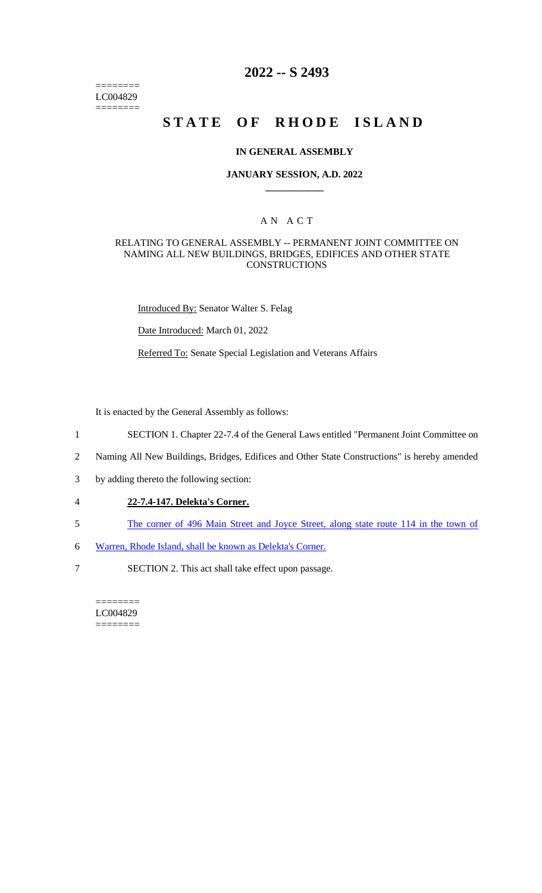======== LC004829  $=$ 

# **2022 -- S 2493**

# **STATE OF RHODE ISLAND**

#### **IN GENERAL ASSEMBLY**

#### **JANUARY SESSION, A.D. 2022 \_\_\_\_\_\_\_\_\_\_\_\_**

## A N A C T

### RELATING TO GENERAL ASSEMBLY -- PERMANENT JOINT COMMITTEE ON NAMING ALL NEW BUILDINGS, BRIDGES, EDIFICES AND OTHER STATE **CONSTRUCTIONS**

Introduced By: Senator Walter S. Felag

Date Introduced: March 01, 2022

Referred To: Senate Special Legislation and Veterans Affairs

It is enacted by the General Assembly as follows:

- 1 SECTION 1. Chapter 22-7.4 of the General Laws entitled "Permanent Joint Committee on
- 2 Naming All New Buildings, Bridges, Edifices and Other State Constructions" is hereby amended
- 3 by adding thereto the following section:
- 4 **22-7.4-147. Delekta's Corner.**
- 5 The corner of 496 Main Street and Joyce Street, along state route 114 in the town of
- 6 Warren, Rhode Island, shall be known as Delekta's Corner.
- 7 SECTION 2. This act shall take effect upon passage.

======== LC004829 ========